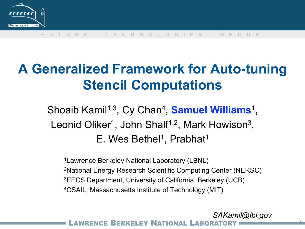

# **A Generalized Framework for Auto-tuning Stencil Computations**

Shoaib Kamil<sup>1,3</sup>, Cy Chan<sup>4</sup>, **Samuel Williams**<sup>1</sup>, Leonid Oliker<sup>1</sup>, John Shalf<sup>1,2</sup>, Mark Howison<sup>3</sup>,  $E.$  Wes Bethel<sup>1</sup>, Prabhat<sup>1</sup>

1Lawrence Berkeley National Laboratory (LBNL) 2National Energy Research Scientific Computing Center (NERSC) 3EECS Department, University of California, Berkeley (UCB) 4CSAIL, Massachusetts Institute of Technology (MIT)

BERKELEY NATIONAL LABOR *SAKamil@lbl.gov*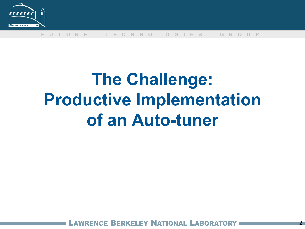

# **The Challenge: Productive Implementation of an Auto-tuner**

**BERKELEY NATIONAL LABORA**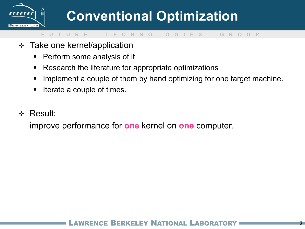

- **❖** Take one kernel/application
	- **Perform some analysis of it**
	- Research the literature for appropriate optimizations
	- **Implement a couple of them by hand optimizing for one target machine.**
	- Iterate a couple of times.
- Result:

improve performance for **one** kernel on **one** computer.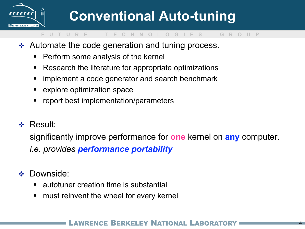

# **Conventional Auto-tuning**

### **F U T U R E T E C H N O L O G I E S G R O U P**

- **↑ Automate the code generation and tuning process.** 
	- **Perform some analysis of the kernel**
	- Research the literature for appropriate optimizations
	- **F** implement a code generator and search benchmark
	- **EXPLORE OPTIMIZATION SPACE**
	- **F** report best implementation/parameters
- Result:

significantly improve performance for **one** kernel on **any** computer.

*i.e. provides performance portability* 

- **Downside:** 
	- autotuner creation time is substantial
	- **nust reinvent the wheel for every kernelly**

### RENCE BERKELEY NATIONAL LABOR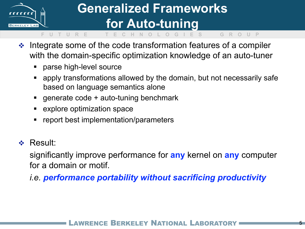

## **Generalized Frameworks for Auto-tuning**

 $\cdot$  Integrate some of the code transformation features of a compiler with the domain-specific optimization knowledge of an auto-tuner

**F U T U R E T E C H N O L O G I E S G R O U P** 

- **Parse high-level source**
- apply transformations allowed by the domain, but not necessarily safe based on language semantics alone
- **generate code + auto-tuning benchmark**
- explore optimization space
- report best implementation/parameters
- **❖ Result:**

significantly improve performance for **any** kernel on **any** computer for a domain or motif.

*i.e. performance portability without sacrificing productivity* 

### RENCE BERKELEY NATIONAL LARORA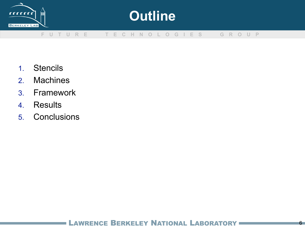

## **Outline**

#### **F U T U R E T E C H N O L O G I E S G R O U P**

- 1. Stencils
- 2. Machines
- 3. Framework
- 4. Results
- 5. Conclusions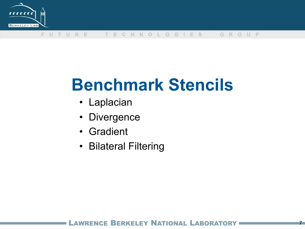

# **Benchmark Stencils**

- Laplacian
- Divergence
- Gradient
- Bilateral Filtering

### RENCE BERKELEY NATIONAL LABORAT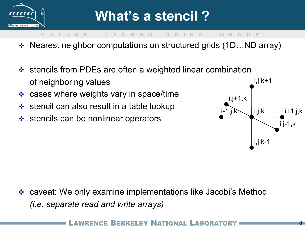

- Nearest neighbor computations on structured grids (1D…ND array)
- ❖ stencils from PDEs are often a weighted linear combination of neighboring values
- cases where weights vary in space/time
- $\div$  stencil can also result in a table lookup
- $\div$  stencils can be nonlinear operators



8

 caveat: We only examine implementations like Jacobi's Method *(i.e. separate read and write arrays)* 

ERKELEY NATIONAL L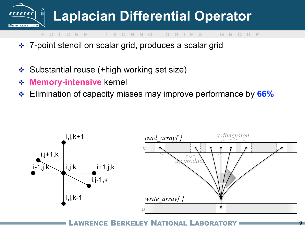

- 7-point stencil on scalar grid, produces a scalar grid
- Substantial reuse (+high working set size)
- **Memory-intensive** kernel
- Elimination of capacity misses may improve performance by **66%**



LAWRENCE BERKELEY NATIONAL LABORATORY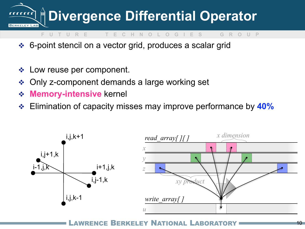

- **F U T U R E T E C H N O L O G I E S G R O U P**
- 6-point stencil on a vector grid, produces a scalar grid
- ◆ Low reuse per component.
- Only z-component demands a large working set
- **Memory-intensive** kernel
- Elimination of capacity misses may improve performance by **40%**



LAWRENCE BERKELEY NATIONAL LABORATORY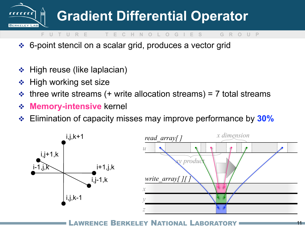

- 6-point stencil on a scalar grid, produces a vector grid
- $\div$  High reuse (like laplacian)
- **❖** High working set size
- $\div$  three write streams (+ write allocation streams) = 7 total streams
- **Memory-intensive** kernel
- Elimination of capacity misses may improve performance by **30%**



LAWRENCE BERKELEY NATIONAL LABORATORY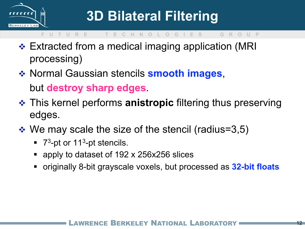

- ❖ Extracted from a medical imaging application (MRI processing)
- Normal Gaussian stencils **smooth images**, but **destroy sharp edges**.
- This kernel performs **anistropic** filtering thus preserving edges.
- $\div$  We may scale the size of the stencil (radius=3,5)
	- $\blacksquare$  7<sup>3</sup>-pt or 11<sup>3</sup>-pt stencils.
	- apply to dataset of 192 x 256x256 slices
	- originally 8-bit grayscale voxels, but processed as **32-bit floats**

### BERKELEY NATIONAL LABO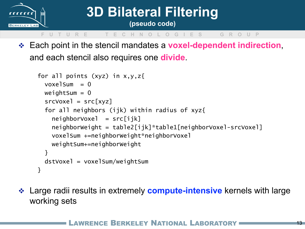

# **3D Bilateral Filtering**

**(pseudo code)** 

### **F U T U R E T E C H N O L O G I E S G R O U P**

 Each point in the stencil mandates a **voxel-dependent indirection**, and each stencil also requires one **divide**.

```
for all points (xyz) in x,y,zvoxelSum = 0weightSum = 0srcVoxel = src[xyz] for all neighbors (ijk) within radius of xyz{ 
    neighbourVoxel = src[ijk] neighborWeight = table2[ijk]*table1[neighborVoxel-srcVoxel] 
     voxelSum +=neighborWeight*neighborVoxel
     weightSum+=neighborWeight
   } 
   dstVoxel = voxelSum/weightSum
}
```
 Large radii results in extremely **compute-intensive** kernels with large working sets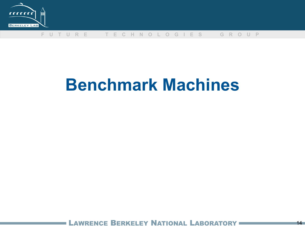

# **Benchmark Machines**

LAWRENCE BERKELEY NATIONAL LABORATORY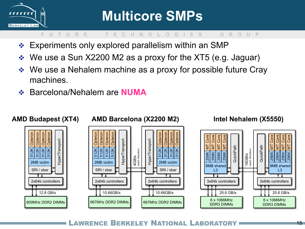

- Experiments only explored parallelism within an SMP
- ◆ We use a Sun X2200 M2 as a proxy for the XT5 (e.g. Jaguar)
- ◆ We use a Nehalem machine as a proxy for possible future Cray machines.
- Barcelona/Nehalem are **NUMA**



WRENCE BERKELEY NATIONAL LABORATORY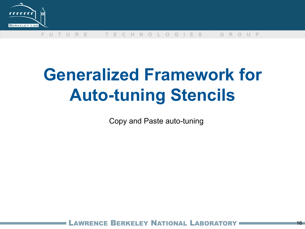

# **Generalized Framework for Auto-tuning Stencils**

Copy and Paste auto-tuning

NCE BERKELEY NATIONAL LABORAT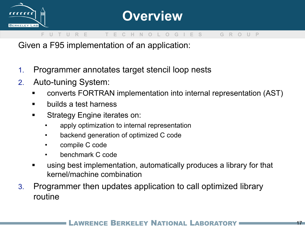

Given a F95 implementation of an application:

- 1. Programmer annotates target stencil loop nests
- 2. Auto-tuning System:
	- converts FORTRAN implementation into internal representation (AST)
	- **ullets** a test harness
	- **Strategy Engine iterates on:** 
		- apply optimization to internal representation
		- backend generation of optimized C code
		- compile C code
		- benchmark C code
	- using best implementation, automatically produces a library for that kernel/machine combination
- 3. Programmer then updates application to call optimized library routine

### AWRENCE BERKELEY NATIONAL LABORAT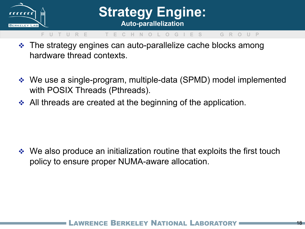

## **Strategy Engine: Auto-parallelization**

#### **F U T U R E T E C H N O L O G I E S G R O U P**

- The strategy engines can auto-parallelize cache blocks among hardware thread contexts.
- We use a single-program, multiple-data (SPMD) model implemented with POSIX Threads (Pthreads).
- All threads are created at the beginning of the application.

• We also produce an initialization routine that exploits the first touch policy to ensure proper NUMA-aware allocation.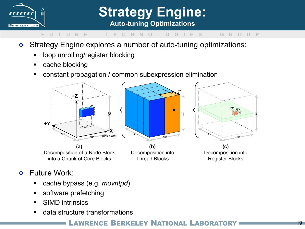

**Strategy Engine: Auto-tuning Optimizations** 

#### **F U T U R E T E C H N O L O G I E S G R O U P**

- Strategy Engine explores a number of auto-tuning optimizations:
	- **-** loop unrolling/register blocking
	- cache blocking
	- constant propagation / common subexpression elimination



- ❖ Future Work:
	- cache bypass (e.g. *movntpd*)
	- **software prefetching**
	- **SIMD intrinsics**
	- data structure transformations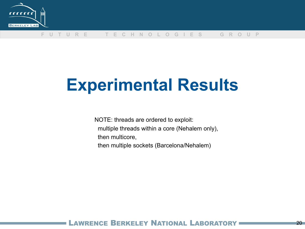

# **Experimental Results**

NOTE: threads are ordered to exploit: multiple threads within a core (Nehalem only), then multicore, then multiple sockets (Barcelona/Nehalem)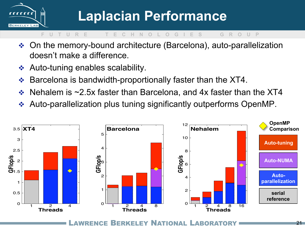![](_page_20_Picture_0.jpeg)

- On the memory-bound architecture (Barcelona), auto-parallelization doesn't make a difference.
- Auto-tuning enables scalability.
- $\div$  Barcelona is bandwidth-proportionally faster than the XT4.
- $\div$  Nehalem is ~2.5x faster than Barcelona, and 4x faster than the XT4
- Auto-parallelization plus tuning significantly outperforms OpenMP.

![](_page_20_Figure_8.jpeg)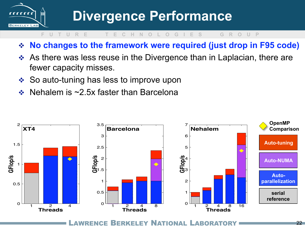![](_page_21_Picture_0.jpeg)

- **No changes to the framework were required (just drop in F95 code)**
- ◆ As there was less reuse in the Divergence than in Laplacian, there are fewer capacity misses.
- ❖ So auto-tuning has less to improve upon
- Nehalem is ~2.5x faster than Barcelona

![](_page_21_Figure_7.jpeg)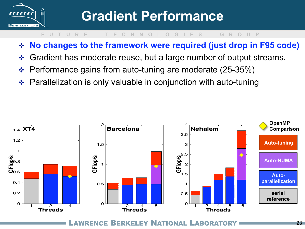![](_page_22_Picture_0.jpeg)

- **No changes to the framework were required (just drop in F95 code)**
- Gradient has moderate reuse, but a large number of output streams.
- Performance gains from auto-tuning are moderate (25-35%)
- Parallelization is only valuable in conjunction with auto-tuning

![](_page_22_Figure_7.jpeg)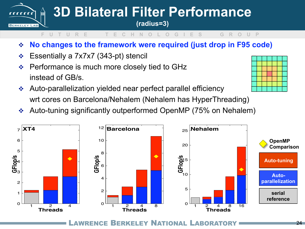![](_page_23_Picture_0.jpeg)

- **No changes to the framework were required (just drop in F95 code)**
- Essentially a 7x7x7 (343-pt) stencil
- $\div$  Performance is much more closely tied to GHz instead of GB/s.
- Auto-parallelization yielded near perfect parallel efficiency wrt cores on Barcelona/Nehalem (Nehalem has HyperThreading)
- Auto-tuning significantly outperformed OpenMP (75% on Nehalem)

![](_page_23_Figure_7.jpeg)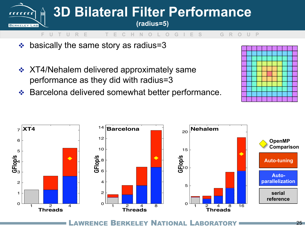![](_page_24_Picture_0.jpeg)

- $\div$  basically the same story as radius=3
- XT4/Nehalem delivered approximately same performance as they did with radius=3
- ◆ Barcelona delivered somewhat better performance.

![](_page_24_Figure_4.jpeg)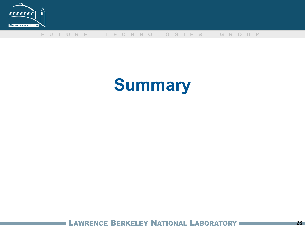![](_page_25_Picture_0.jpeg)

# **Summary**

LAWRENCE BERKELEY NATIONAL LABORATORY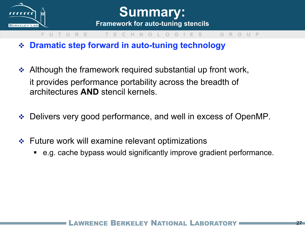![](_page_26_Picture_0.jpeg)

![](_page_26_Picture_1.jpeg)

#### **G R O U P**

- **Dramatic step forward in auto-tuning technology**
- $\triangleleft$  Although the framework required substantial up front work, it provides performance portability across the breadth of architectures **AND** stencil kernels.
- Delivers very good performance, and well in excess of OpenMP.
- $\div$  Future work will examine relevant optimizations
	- e.g. cache bypass would significantly improve gradient performance.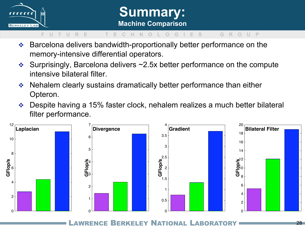![](_page_27_Picture_0.jpeg)

## **Summary: Machine Comparison**

#### **F U T U R E T E C H N O L O G I E S G R O U P**

- Barcelona delivers bandwidth-proportionally better performance on the memory-intensive differential operators.
- $\div$  Surprisingly, Barcelona delivers  $\sim$ 2.5x better performance on the compute intensive bilateral filter.
- ◆ Nehalem clearly sustains dramatically better performance than either Opteron.
- ◆ Despite having a 15% faster clock, nehalem realizes a much better bilateral filter performance.

![](_page_27_Figure_7.jpeg)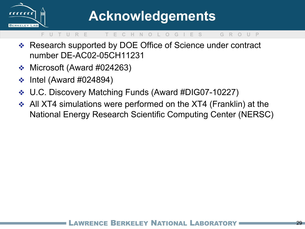![](_page_28_Picture_0.jpeg)

- Research supported by DOE Office of Science under contract number DE-AC02-05CH11231
- $\div$  Microsoft (Award #024263)
- $\div$  Intel (Award #024894)
- U.C. Discovery Matching Funds (Award #DIG07-10227)
- All XT4 simulations were performed on the XT4 (Franklin) at the National Energy Research Scientific Computing Center (NERSC)